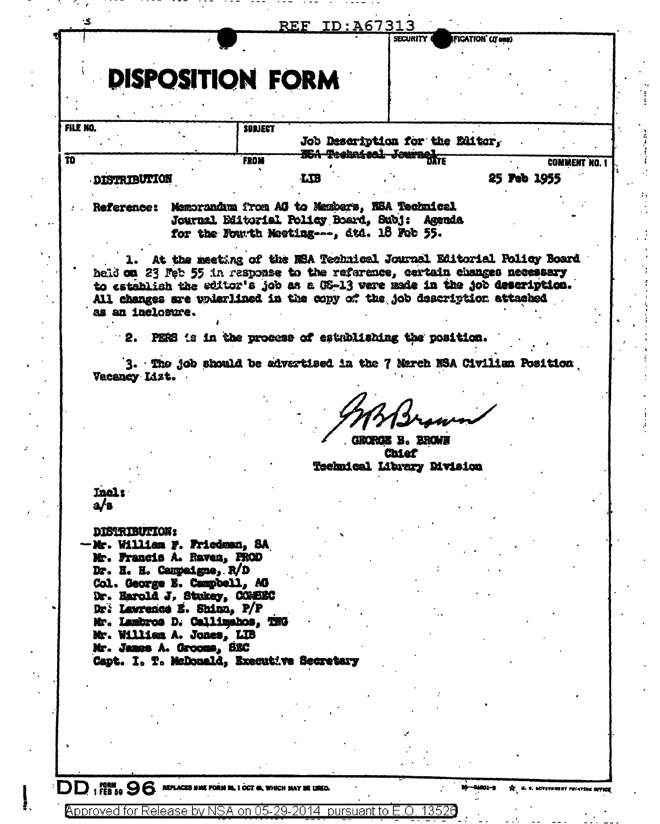|                                                                            |                                                                              |    | SECURITY (                                              | IFICATION` (I <b>f</b> eas) |               |  |
|----------------------------------------------------------------------------|------------------------------------------------------------------------------|----|---------------------------------------------------------|-----------------------------|---------------|--|
|                                                                            |                                                                              |    |                                                         |                             |               |  |
|                                                                            |                                                                              |    |                                                         |                             |               |  |
|                                                                            | <b>DISPOSITION FORM</b>                                                      |    |                                                         |                             |               |  |
|                                                                            |                                                                              |    |                                                         |                             |               |  |
|                                                                            |                                                                              |    |                                                         |                             |               |  |
|                                                                            |                                                                              |    |                                                         |                             |               |  |
| FILE NO.                                                                   | <b>SUBJECT</b>                                                               |    |                                                         |                             |               |  |
|                                                                            |                                                                              |    | Job Description for the Editor,                         |                             |               |  |
|                                                                            | <b>FROM</b>                                                                  |    | <del>. ISA Technice<mark>l</mark> Journel</del><br>DATE |                             |               |  |
|                                                                            |                                                                              |    |                                                         |                             | COMMENT NO. 1 |  |
| <b>DISTRIBUTION</b>                                                        |                                                                              | LB |                                                         |                             | 25 Peb 1955   |  |
|                                                                            |                                                                              |    |                                                         |                             |               |  |
| Reference: Memorandum from AG to Members, NSA Technical                    |                                                                              |    |                                                         |                             |               |  |
|                                                                            | Journal Editorial Policy Board, Subj: Agenda                                 |    |                                                         |                             |               |  |
|                                                                            | for the Fourth Meeting, dtd. 18 Feb 55.                                      |    |                                                         |                             |               |  |
|                                                                            |                                                                              |    |                                                         |                             |               |  |
|                                                                            |                                                                              |    |                                                         |                             |               |  |
|                                                                            | <b>1. At the meeting of the NSA Technical Journal Editorial Policy Board</b> |    |                                                         |                             |               |  |
| held on 23 Feb 55 in response to the reference, certain changes necessary  |                                                                              |    |                                                         |                             |               |  |
| to establish the editor's job as a OS-13 were made in the job description. |                                                                              |    |                                                         |                             |               |  |
| All changes are underlined in the copy of the job description attached     |                                                                              |    |                                                         |                             |               |  |
| as an inclosure.                                                           |                                                                              |    |                                                         |                             |               |  |
|                                                                            |                                                                              |    |                                                         |                             |               |  |
|                                                                            |                                                                              |    |                                                         |                             |               |  |
|                                                                            | 2. PERS 's in the process of establishing the position.                      |    |                                                         |                             |               |  |
|                                                                            |                                                                              |    |                                                         |                             |               |  |
|                                                                            | 3. The job should be advertised in the 7 Merch NSA Civilian Position         |    |                                                         |                             |               |  |
|                                                                            |                                                                              |    |                                                         |                             |               |  |
|                                                                            |                                                                              |    |                                                         |                             |               |  |
| Vacancy Lizt.                                                              |                                                                              |    |                                                         |                             |               |  |
|                                                                            |                                                                              |    |                                                         |                             |               |  |
|                                                                            |                                                                              |    |                                                         |                             |               |  |
|                                                                            |                                                                              |    |                                                         |                             |               |  |
|                                                                            |                                                                              |    |                                                         |                             |               |  |
|                                                                            |                                                                              |    | GRORGE B. BROWN                                         |                             |               |  |
|                                                                            |                                                                              |    | <b>Chief</b>                                            |                             |               |  |
|                                                                            |                                                                              |    |                                                         |                             |               |  |
|                                                                            |                                                                              |    | Technical Library Division                              |                             |               |  |
|                                                                            |                                                                              |    |                                                         |                             |               |  |
| <b>Inel:</b>                                                               |                                                                              |    |                                                         |                             |               |  |
| a∕s                                                                        |                                                                              |    |                                                         |                             |               |  |
|                                                                            |                                                                              |    |                                                         |                             |               |  |
| <b>DISTRIBUTION:</b>                                                       |                                                                              |    |                                                         |                             |               |  |
|                                                                            |                                                                              |    |                                                         |                             |               |  |
|                                                                            |                                                                              |    |                                                         |                             |               |  |
| Mr. Francis A. Raven, PROD                                                 |                                                                              |    |                                                         |                             |               |  |
| Dr. H. H. Campaigne, R/D                                                   |                                                                              |    |                                                         |                             |               |  |
| Col. George E. Campbell, AG                                                |                                                                              |    |                                                         |                             |               |  |
| Dr. Harold J. Stukey, COMBEC                                               |                                                                              |    |                                                         |                             |               |  |
| Dr. Lawrence E. Shinn, P/P                                                 |                                                                              |    |                                                         |                             |               |  |
|                                                                            |                                                                              |    |                                                         |                             |               |  |
| Mr. Lambros D. Callimahos, TNG                                             |                                                                              |    |                                                         |                             |               |  |
| Mr. William A. Jones, LIB                                                  |                                                                              |    |                                                         |                             |               |  |
| Mr. James A. Grooms, SEC                                                   |                                                                              |    |                                                         |                             |               |  |
| Capt. I. T. McDonald, Executive Secretary                                  |                                                                              |    |                                                         |                             |               |  |
|                                                                            |                                                                              |    |                                                         |                             |               |  |
| -Mr. William F. Friedman, SA                                               |                                                                              |    |                                                         |                             |               |  |
|                                                                            |                                                                              |    |                                                         |                             |               |  |
|                                                                            |                                                                              |    |                                                         |                             |               |  |
|                                                                            |                                                                              |    |                                                         |                             |               |  |
|                                                                            |                                                                              |    |                                                         |                             |               |  |

DD 1 FEB 50 96 REPLACES NAME FORM SIL 1 OCT 60, WHICH MAY BE USED.

on  $05$ -

29-2014

**Approved for Release by NSA** 

ł.

**101-a** ★. **U. S. GOVERNMENT PRINTING OFFICE** 

 $\frac{1}{2}$ 

13526

 $\bigcirc$ 

pursuant to

Î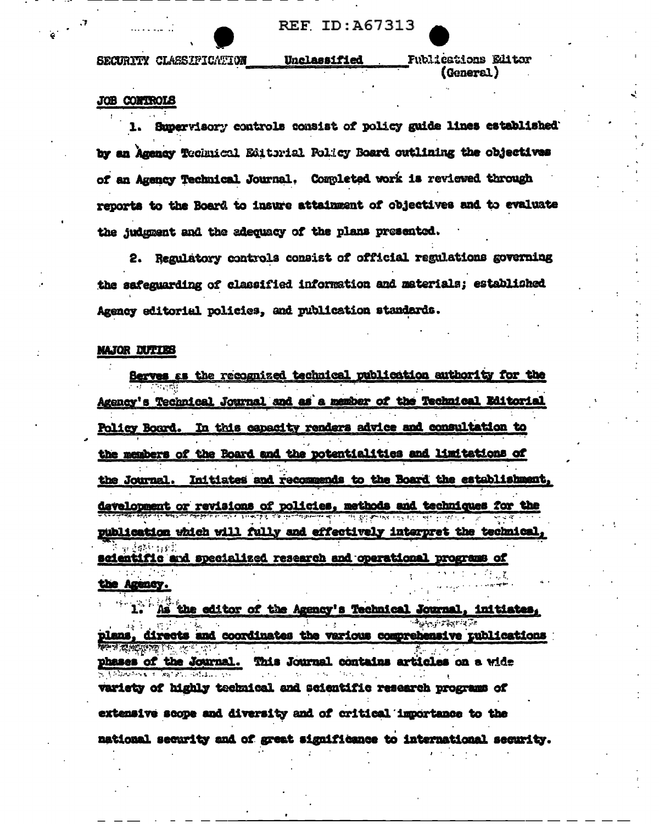SECURITY CLASSIFICATION

**Fublications Editor** (General)

## **JOB CONTROLS**

Supervisory controls consist of policy guide lines established: by an Agency Technical Editorial Folicy Board outlining the objectives of an Agency Technical Journal. Completed work is reviewed through reports to the Board to insure attainment of objectives and to evaluate the judgment and the adequacy of the plans presented.

Unclassified

2. Regulatory controls consist of official regulations governing the safeguarding of classified information and materials; established Agency editorial policies, and publication standards.

## **MAJOR DUTIES**

Serves as the recognized technical publication authority for the Agency's Technical Journal and as a member of the Technical Editorial Policy Board. In this capacity renders advice and consultation to the members of the Roard and the potentialities and limitations of the Journal. Initiates and recommends to the Board the establishment. development or revisions of policies, methods and techniques for the publication which will fully and effectively interpret the technical scientific and specialized research and operational programs of t in the Agency.

. As the editor of the Agency's Technical Journal, initiates, ج<del>ر پ</del>ر بروتر برم directs and coordinates the various comprehensive publications phases of the Journal. This Journal contains articles on a wide variety of highly technical and scientific research programs of extensive scope and diversity and of critical importance to the national security and of great significance to international security.